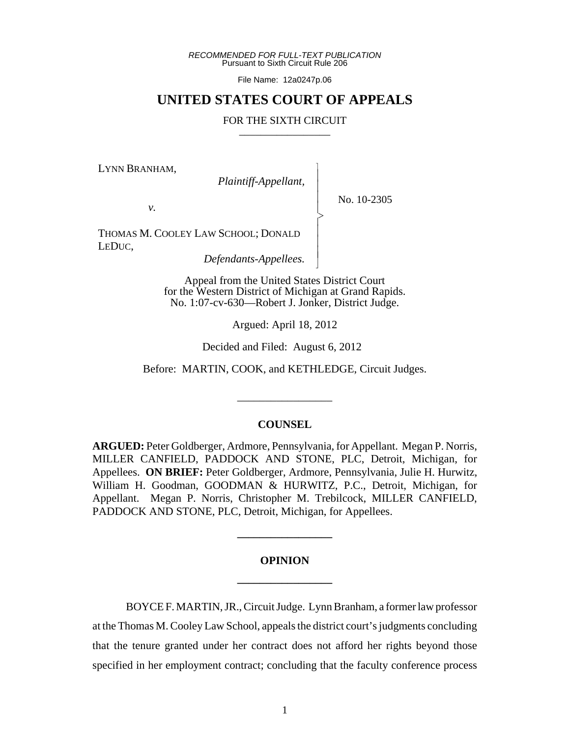*RECOMMENDED FOR FULL-TEXT PUBLICATION* Pursuant to Sixth Circuit Rule 206

File Name: 12a0247p.06

## **UNITED STATES COURT OF APPEALS**

#### FOR THE SIXTH CIRCUIT

 $\overline{\phantom{a}}$ - - - > , - - - N

LYNN BRANHAM,

 *Plaintiff-Appellant,*

No. 10-2305

*v.*

THOMAS M. COOLEY LAW SCHOOL; DONALD LEDUC,

 *Defendants-Appellees.*

Appeal from the United States District Court for the Western District of Michigan at Grand Rapids. No. 1:07-cv-630—Robert J. Jonker, District Judge.

Argued: April 18, 2012

Decided and Filed: August 6, 2012

Before: MARTIN, COOK, and KETHLEDGE, Circuit Judges.

\_\_\_\_\_\_\_\_\_\_\_\_\_\_\_\_\_

## **COUNSEL**

**ARGUED:** Peter Goldberger, Ardmore, Pennsylvania, for Appellant. Megan P. Norris, MILLER CANFIELD, PADDOCK AND STONE, PLC, Detroit, Michigan, for Appellees. **ON BRIEF:** Peter Goldberger, Ardmore, Pennsylvania, Julie H. Hurwitz, William H. Goodman, GOODMAN & HURWITZ, P.C., Detroit, Michigan, for Appellant. Megan P. Norris, Christopher M. Trebilcock, MILLER CANFIELD, PADDOCK AND STONE, PLC, Detroit, Michigan, for Appellees.

# **OPINION \_\_\_\_\_\_\_\_\_\_\_\_\_\_\_\_\_**

**\_\_\_\_\_\_\_\_\_\_\_\_\_\_\_\_\_**

BOYCE F. MARTIN, JR., Circuit Judge. Lynn Branham, a former law professor at the Thomas M. Cooley Law School, appeals the district court's judgments concluding that the tenure granted under her contract does not afford her rights beyond those specified in her employment contract; concluding that the faculty conference process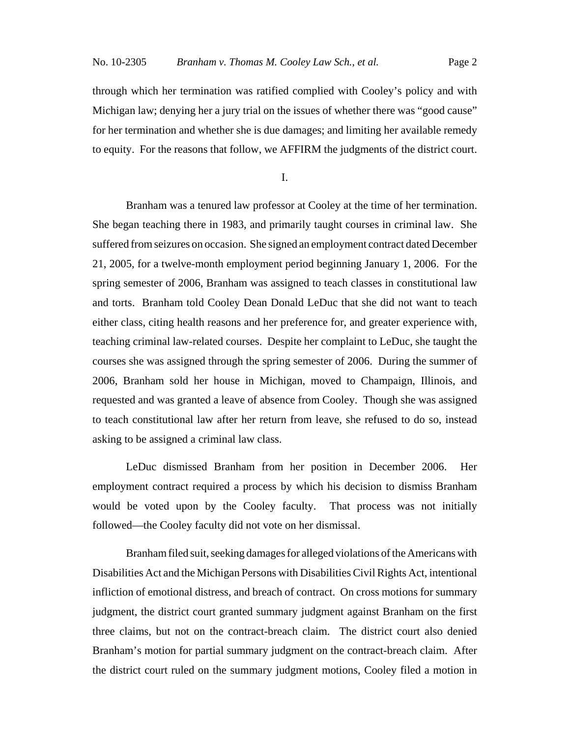through which her termination was ratified complied with Cooley's policy and with Michigan law; denying her a jury trial on the issues of whether there was "good cause" for her termination and whether she is due damages; and limiting her available remedy to equity. For the reasons that follow, we AFFIRM the judgments of the district court.

I.

Branham was a tenured law professor at Cooley at the time of her termination. She began teaching there in 1983, and primarily taught courses in criminal law. She suffered from seizures on occasion. She signed an employment contract dated December 21, 2005, for a twelve-month employment period beginning January 1, 2006. For the spring semester of 2006, Branham was assigned to teach classes in constitutional law and torts. Branham told Cooley Dean Donald LeDuc that she did not want to teach either class, citing health reasons and her preference for, and greater experience with, teaching criminal law-related courses. Despite her complaint to LeDuc, she taught the courses she was assigned through the spring semester of 2006. During the summer of 2006, Branham sold her house in Michigan, moved to Champaign, Illinois, and requested and was granted a leave of absence from Cooley. Though she was assigned to teach constitutional law after her return from leave, she refused to do so, instead asking to be assigned a criminal law class.

LeDuc dismissed Branham from her position in December 2006. Her employment contract required a process by which his decision to dismiss Branham would be voted upon by the Cooley faculty. That process was not initially followed—the Cooley faculty did not vote on her dismissal.

Branham filed suit, seeking damages for alleged violations of the Americans with Disabilities Act and the Michigan Persons with Disabilities Civil Rights Act, intentional infliction of emotional distress, and breach of contract. On cross motions for summary judgment, the district court granted summary judgment against Branham on the first three claims, but not on the contract-breach claim. The district court also denied Branham's motion for partial summary judgment on the contract-breach claim. After the district court ruled on the summary judgment motions, Cooley filed a motion in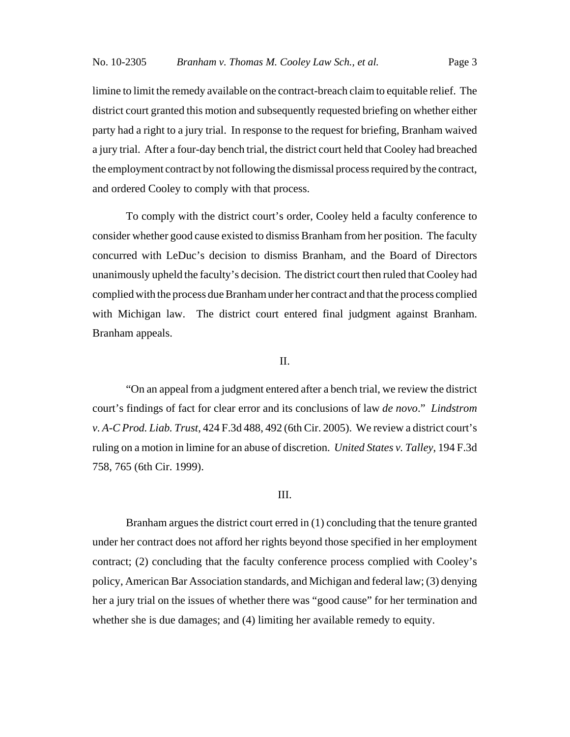limine to limit the remedy available on the contract-breach claim to equitable relief. The district court granted this motion and subsequently requested briefing on whether either party had a right to a jury trial. In response to the request for briefing, Branham waived a jury trial. After a four-day bench trial, the district court held that Cooley had breached the employment contract by not following the dismissal process required by the contract, and ordered Cooley to comply with that process.

To comply with the district court's order, Cooley held a faculty conference to consider whether good cause existed to dismiss Branham from her position. The faculty concurred with LeDuc's decision to dismiss Branham, and the Board of Directors unanimously upheld the faculty's decision. The district court then ruled that Cooley had complied with the process due Branham under her contract and that the process complied with Michigan law. The district court entered final judgment against Branham. Branham appeals.

## II.

"On an appeal from a judgment entered after a bench trial, we review the district court's findings of fact for clear error and its conclusions of law *de novo*." *Lindstrom v. A-C Prod. Liab. Trust*, 424 F.3d 488, 492 (6th Cir. 2005). We review a district court's ruling on a motion in limine for an abuse of discretion. *United States v. Talley*, 194 F.3d 758, 765 (6th Cir. 1999).

## III.

Branham argues the district court erred in (1) concluding that the tenure granted under her contract does not afford her rights beyond those specified in her employment contract; (2) concluding that the faculty conference process complied with Cooley's policy, American Bar Association standards, and Michigan and federal law; (3) denying her a jury trial on the issues of whether there was "good cause" for her termination and whether she is due damages; and (4) limiting her available remedy to equity.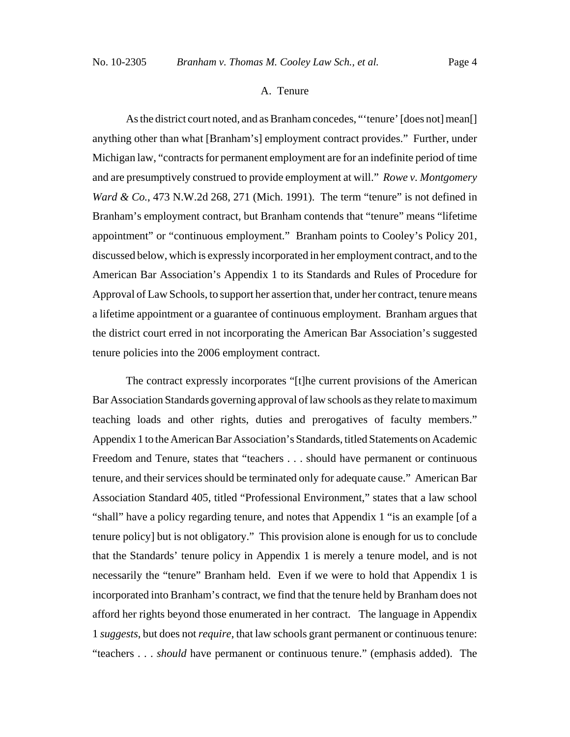## A. Tenure

As the district court noted, and as Branham concedes, "'tenure' [does not] mean[] anything other than what [Branham's] employment contract provides." Further, under Michigan law, "contracts for permanent employment are for an indefinite period of time and are presumptively construed to provide employment at will." *Rowe v. Montgomery Ward & Co.*, 473 N.W.2d 268, 271 (Mich. 1991). The term "tenure" is not defined in Branham's employment contract, but Branham contends that "tenure" means "lifetime appointment" or "continuous employment." Branham points to Cooley's Policy 201, discussed below, which is expressly incorporated in her employment contract, and to the American Bar Association's Appendix 1 to its Standards and Rules of Procedure for Approval of Law Schools, to support her assertion that, under her contract, tenure means a lifetime appointment or a guarantee of continuous employment. Branham argues that the district court erred in not incorporating the American Bar Association's suggested tenure policies into the 2006 employment contract.

The contract expressly incorporates "[t]he current provisions of the American Bar Association Standards governing approval of law schools as they relate to maximum teaching loads and other rights, duties and prerogatives of faculty members." Appendix 1 to the American Bar Association's Standards, titled Statements on Academic Freedom and Tenure, states that "teachers . . . should have permanent or continuous tenure, and their services should be terminated only for adequate cause." American Bar Association Standard 405, titled "Professional Environment," states that a law school "shall" have a policy regarding tenure, and notes that Appendix 1 "is an example [of a tenure policy] but is not obligatory." This provision alone is enough for us to conclude that the Standards' tenure policy in Appendix 1 is merely a tenure model, and is not necessarily the "tenure" Branham held. Even if we were to hold that Appendix 1 is incorporated into Branham's contract, we find that the tenure held by Branham does not afford her rights beyond those enumerated in her contract. The language in Appendix 1 *suggests*, but does not *require*, that law schools grant permanent or continuous tenure: "teachers . . . *should* have permanent or continuous tenure." (emphasis added). The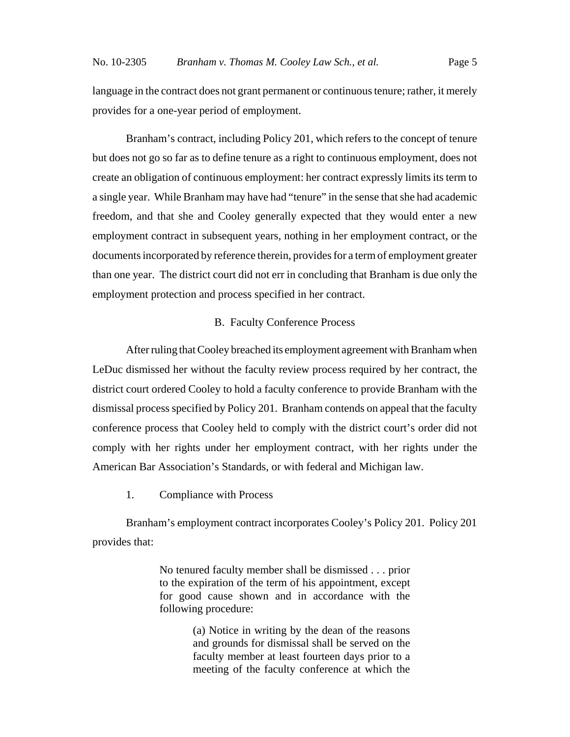language in the contract does not grant permanent or continuous tenure; rather, it merely provides for a one-year period of employment.

Branham's contract, including Policy 201, which refers to the concept of tenure but does not go so far as to define tenure as a right to continuous employment, does not create an obligation of continuous employment: her contract expressly limits its term to a single year. While Branham may have had "tenure" in the sense that she had academic freedom, and that she and Cooley generally expected that they would enter a new employment contract in subsequent years, nothing in her employment contract, or the documents incorporated by reference therein, provides for a term of employment greater than one year. The district court did not err in concluding that Branham is due only the employment protection and process specified in her contract.

## B. Faculty Conference Process

After ruling that Cooley breached its employment agreement with Branham when LeDuc dismissed her without the faculty review process required by her contract, the district court ordered Cooley to hold a faculty conference to provide Branham with the dismissal process specified by Policy 201. Branham contends on appeal that the faculty conference process that Cooley held to comply with the district court's order did not comply with her rights under her employment contract, with her rights under the American Bar Association's Standards, or with federal and Michigan law.

1. Compliance with Process

Branham's employment contract incorporates Cooley's Policy 201. Policy 201 provides that:

> No tenured faculty member shall be dismissed . . . prior to the expiration of the term of his appointment, except for good cause shown and in accordance with the following procedure:

> > (a) Notice in writing by the dean of the reasons and grounds for dismissal shall be served on the faculty member at least fourteen days prior to a meeting of the faculty conference at which the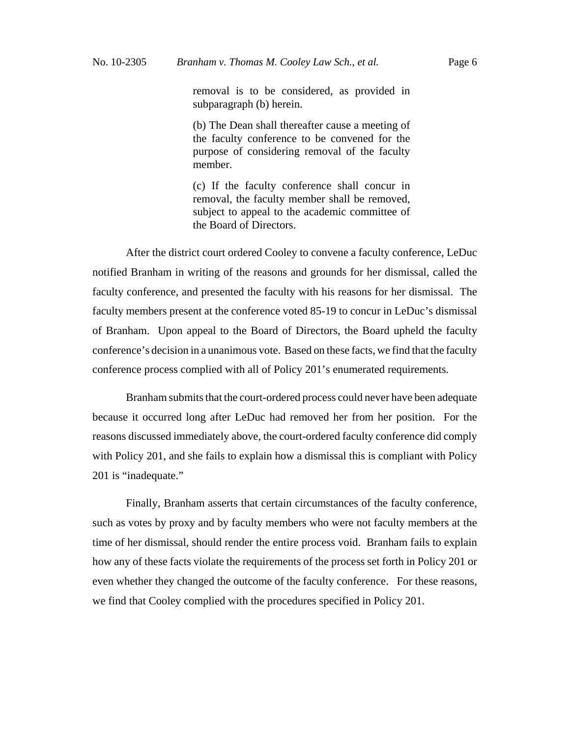removal is to be considered, as provided in subparagraph (b) herein.

(b) The Dean shall thereafter cause a meeting of the faculty conference to be convened for the purpose of considering removal of the faculty member.

(c) If the faculty conference shall concur in removal, the faculty member shall be removed, subject to appeal to the academic committee of the Board of Directors.

After the district court ordered Cooley to convene a faculty conference, LeDuc notified Branham in writing of the reasons and grounds for her dismissal, called the faculty conference, and presented the faculty with his reasons for her dismissal. The faculty members present at the conference voted 85-19 to concur in LeDuc's dismissal of Branham. Upon appeal to the Board of Directors, the Board upheld the faculty conference's decision in a unanimous vote. Based on these facts, we find that the faculty conference process complied with all of Policy 201's enumerated requirements.

Branham submits that the court-ordered process could never have been adequate because it occurred long after LeDuc had removed her from her position. For the reasons discussed immediately above, the court-ordered faculty conference did comply with Policy 201, and she fails to explain how a dismissal this is compliant with Policy 201 is "inadequate."

Finally, Branham asserts that certain circumstances of the faculty conference, such as votes by proxy and by faculty members who were not faculty members at the time of her dismissal, should render the entire process void. Branham fails to explain how any of these facts violate the requirements of the process set forth in Policy 201 or even whether they changed the outcome of the faculty conference. For these reasons, we find that Cooley complied with the procedures specified in Policy 201.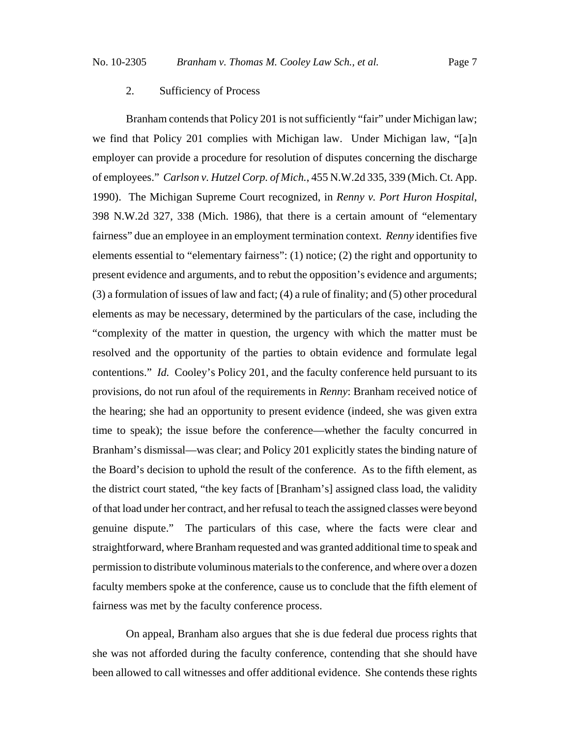## 2. Sufficiency of Process

Branham contends that Policy 201 is not sufficiently "fair" under Michigan law; we find that Policy 201 complies with Michigan law. Under Michigan law, "[a]n employer can provide a procedure for resolution of disputes concerning the discharge of employees." *Carlson v. Hutzel Corp. of Mich.*, 455 N.W.2d 335, 339 (Mich. Ct. App. 1990). The Michigan Supreme Court recognized, in *Renny v. Port Huron Hospital*, 398 N.W.2d 327, 338 (Mich. 1986), that there is a certain amount of "elementary fairness" due an employee in an employment termination context. *Renny* identifies five elements essential to "elementary fairness": (1) notice; (2) the right and opportunity to present evidence and arguments, and to rebut the opposition's evidence and arguments; (3) a formulation of issues of law and fact; (4) a rule of finality; and (5) other procedural elements as may be necessary, determined by the particulars of the case, including the "complexity of the matter in question, the urgency with which the matter must be resolved and the opportunity of the parties to obtain evidence and formulate legal contentions." *Id.* Cooley's Policy 201, and the faculty conference held pursuant to its provisions, do not run afoul of the requirements in *Renny*: Branham received notice of the hearing; she had an opportunity to present evidence (indeed, she was given extra time to speak); the issue before the conference—whether the faculty concurred in Branham's dismissal—was clear; and Policy 201 explicitly states the binding nature of the Board's decision to uphold the result of the conference. As to the fifth element, as the district court stated, "the key facts of [Branham's] assigned class load, the validity of that load under her contract, and her refusal to teach the assigned classes were beyond genuine dispute." The particulars of this case, where the facts were clear and straightforward, where Branham requested and was granted additional time to speak and permission to distribute voluminous materials to the conference, and where over a dozen faculty members spoke at the conference, cause us to conclude that the fifth element of fairness was met by the faculty conference process.

On appeal, Branham also argues that she is due federal due process rights that she was not afforded during the faculty conference, contending that she should have been allowed to call witnesses and offer additional evidence. She contends these rights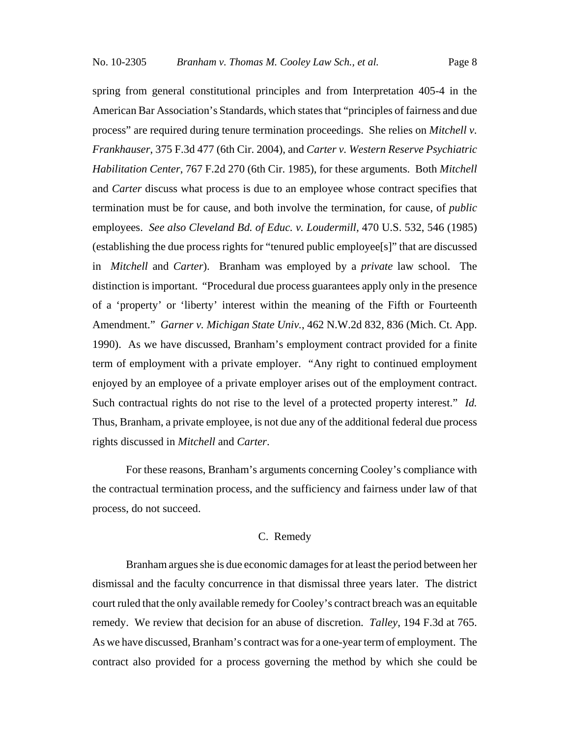spring from general constitutional principles and from Interpretation 405-4 in the American Bar Association's Standards, which states that "principles of fairness and due process" are required during tenure termination proceedings. She relies on *Mitchell v. Frankhauser*, 375 F.3d 477 (6th Cir. 2004), and *Carter v. Western Reserve Psychiatric Habilitation Center*, 767 F.2d 270 (6th Cir. 1985), for these arguments. Both *Mitchell* and *Carter* discuss what process is due to an employee whose contract specifies that termination must be for cause, and both involve the termination, for cause, of *public* employees. *See also Cleveland Bd. of Educ. v. Loudermill,* 470 U.S. 532, 546 (1985) (establishing the due process rights for "tenured public employee[s]" that are discussed in *Mitchell* and *Carter*). Branham was employed by a *private* law school. The distinction is important. "Procedural due process guarantees apply only in the presence of a 'property' or 'liberty' interest within the meaning of the Fifth or Fourteenth Amendment." *Garner v. Michigan State Univ.*, 462 N.W.2d 832, 836 (Mich. Ct. App. 1990). As we have discussed, Branham's employment contract provided for a finite term of employment with a private employer. "Any right to continued employment enjoyed by an employee of a private employer arises out of the employment contract. Such contractual rights do not rise to the level of a protected property interest." *Id.* Thus, Branham, a private employee, is not due any of the additional federal due process rights discussed in *Mitchell* and *Carter*.

For these reasons, Branham's arguments concerning Cooley's compliance with the contractual termination process, and the sufficiency and fairness under law of that process, do not succeed.

## C. Remedy

Branham argues she is due economic damages for at least the period between her dismissal and the faculty concurrence in that dismissal three years later. The district court ruled that the only available remedy for Cooley's contract breach was an equitable remedy. We review that decision for an abuse of discretion. *Talley*, 194 F.3d at 765. As we have discussed, Branham's contract was for a one-year term of employment. The contract also provided for a process governing the method by which she could be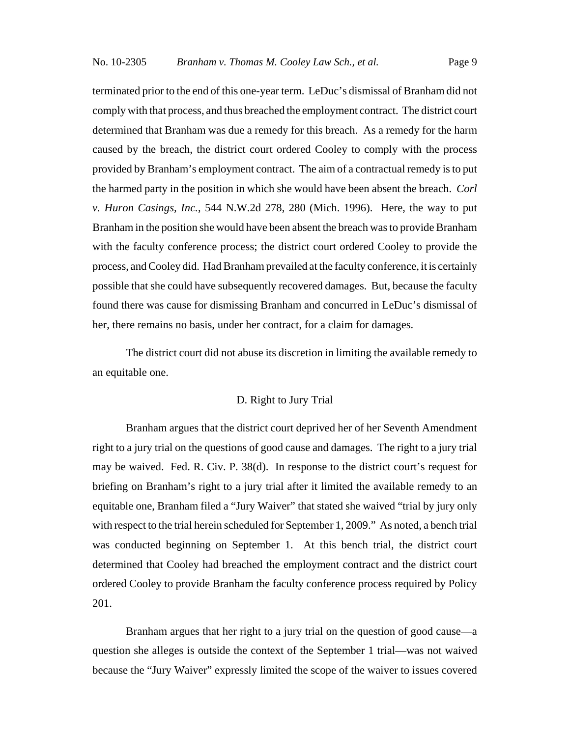terminated prior to the end of this one-year term. LeDuc's dismissal of Branham did not comply with that process, and thus breached the employment contract. The district court determined that Branham was due a remedy for this breach. As a remedy for the harm caused by the breach, the district court ordered Cooley to comply with the process provided by Branham's employment contract. The aim of a contractual remedy is to put the harmed party in the position in which she would have been absent the breach. *Corl v. Huron Casings, Inc.*, 544 N.W.2d 278, 280 (Mich. 1996). Here, the way to put Branham in the position she would have been absent the breach was to provide Branham with the faculty conference process; the district court ordered Cooley to provide the process, and Cooley did. Had Branham prevailed at the faculty conference, it is certainly possible that she could have subsequently recovered damages. But, because the faculty found there was cause for dismissing Branham and concurred in LeDuc's dismissal of her, there remains no basis, under her contract, for a claim for damages.

The district court did not abuse its discretion in limiting the available remedy to an equitable one.

## D. Right to Jury Trial

Branham argues that the district court deprived her of her Seventh Amendment right to a jury trial on the questions of good cause and damages. The right to a jury trial may be waived. Fed. R. Civ. P. 38(d). In response to the district court's request for briefing on Branham's right to a jury trial after it limited the available remedy to an equitable one, Branham filed a "Jury Waiver" that stated she waived "trial by jury only with respect to the trial herein scheduled for September 1, 2009." As noted, a bench trial was conducted beginning on September 1. At this bench trial, the district court determined that Cooley had breached the employment contract and the district court ordered Cooley to provide Branham the faculty conference process required by Policy 201.

Branham argues that her right to a jury trial on the question of good cause—a question she alleges is outside the context of the September 1 trial—was not waived because the "Jury Waiver" expressly limited the scope of the waiver to issues covered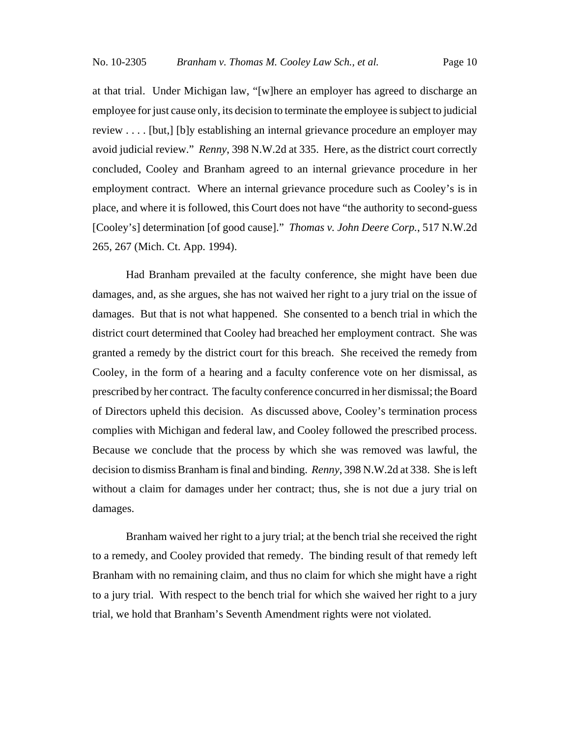at that trial. Under Michigan law, "[w]here an employer has agreed to discharge an employee for just cause only, its decision to terminate the employee is subject to judicial review . . . . [but,] [b]y establishing an internal grievance procedure an employer may avoid judicial review." *Renny*, 398 N.W.2d at 335. Here, as the district court correctly concluded, Cooley and Branham agreed to an internal grievance procedure in her employment contract. Where an internal grievance procedure such as Cooley's is in place, and where it is followed, this Court does not have "the authority to second-guess [Cooley's] determination [of good cause]." *Thomas v. John Deere Corp.*, 517 N.W.2d 265, 267 (Mich. Ct. App. 1994).

Had Branham prevailed at the faculty conference, she might have been due damages, and, as she argues, she has not waived her right to a jury trial on the issue of damages. But that is not what happened. She consented to a bench trial in which the district court determined that Cooley had breached her employment contract. She was granted a remedy by the district court for this breach. She received the remedy from Cooley, in the form of a hearing and a faculty conference vote on her dismissal, as prescribed by her contract. The faculty conference concurred in her dismissal; the Board of Directors upheld this decision. As discussed above, Cooley's termination process complies with Michigan and federal law, and Cooley followed the prescribed process. Because we conclude that the process by which she was removed was lawful, the decision to dismiss Branham is final and binding. *Renny*, 398 N.W.2d at 338. She is left without a claim for damages under her contract; thus, she is not due a jury trial on damages.

Branham waived her right to a jury trial; at the bench trial she received the right to a remedy, and Cooley provided that remedy. The binding result of that remedy left Branham with no remaining claim, and thus no claim for which she might have a right to a jury trial. With respect to the bench trial for which she waived her right to a jury trial, we hold that Branham's Seventh Amendment rights were not violated.